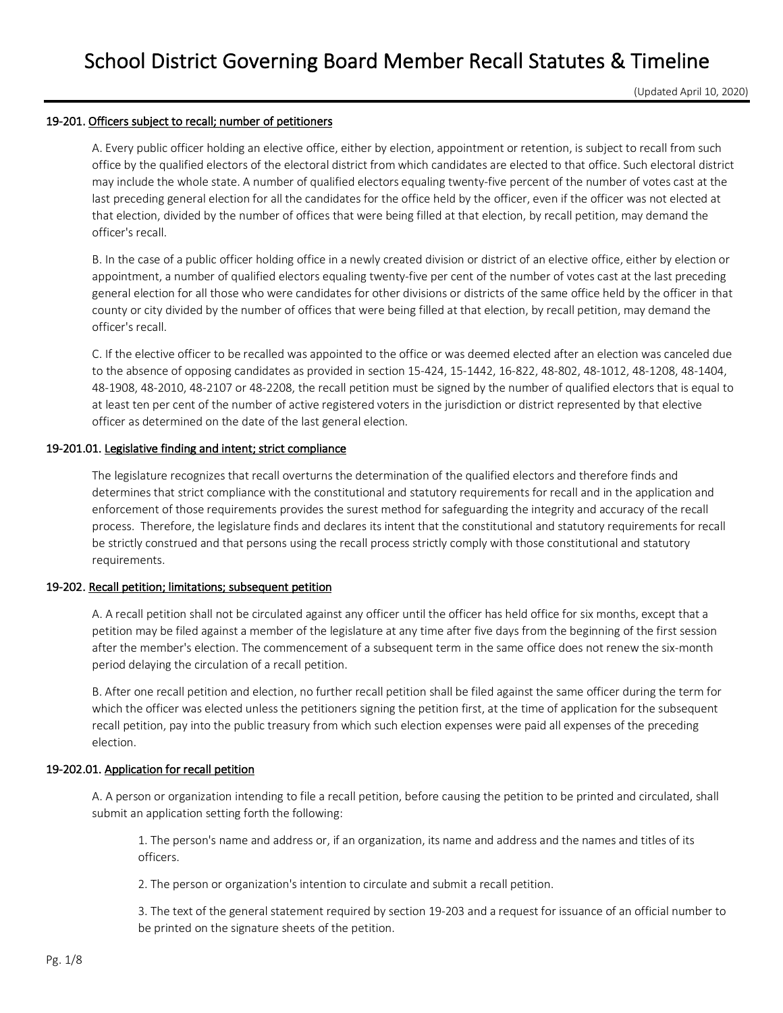(Updated April 10, 2020)

### 19-201. Officers subject to recall; number of petitioners

A. Every public officer holding an elective office, either by election, appointment or retention, is subject to recall from such office by the qualified electors of the electoral district from which candidates are elected to that office. Such electoral district may include the whole state. A number of qualified electors equaling twenty-five percent of the number of votes cast at the last preceding general election for all the candidates for the office held by the officer, even if the officer was not elected at that election, divided by the number of offices that were being filled at that election, by recall petition, may demand the officer's recall.

B. In the case of a public officer holding office in a newly created division or district of an elective office, either by election or appointment, a number of qualified electors equaling twenty-five per cent of the number of votes cast at the last preceding general election for all those who were candidates for other divisions or districts of the same office held by the officer in that county or city divided by the number of offices that were being filled at that election, by recall petition, may demand the officer's recall.

C. If the elective officer to be recalled was appointed to the office or was deemed elected after an election was canceled due to the absence of opposing candidates as provided in section 15-424, 15-1442, 16-822, 48-802, 48-1012, 48-1208, 48-1404, 48-1908, 48-2010, 48-2107 or 48-2208, the recall petition must be signed by the number of qualified electors that is equal to at least ten per cent of the number of active registered voters in the jurisdiction or district represented by that elective officer as determined on the date of the last general election.

## 19-201.01. Legislative finding and intent; strict compliance

The legislature recognizes that recall overturns the determination of the qualified electors and therefore finds and determines that strict compliance with the constitutional and statutory requirements for recall and in the application and enforcement of those requirements provides the surest method for safeguarding the integrity and accuracy of the recall process. Therefore, the legislature finds and declares its intent that the constitutional and statutory requirements for recall be strictly construed and that persons using the recall process strictly comply with those constitutional and statutory requirements.

### 19-202. Recall petition; limitations; subsequent petition

A. A recall petition shall not be circulated against any officer until the officer has held office for six months, except that a petition may be filed against a member of the legislature at any time after five days from the beginning of the first session after the member's election. The commencement of a subsequent term in the same office does not renew the six-month period delaying the circulation of a recall petition.

B. After one recall petition and election, no further recall petition shall be filed against the same officer during the term for which the officer was elected unless the petitioners signing the petition first, at the time of application for the subsequent recall petition, pay into the public treasury from which such election expenses were paid all expenses of the preceding election.

# 19-202.01. Application for recall petition

A. A person or organization intending to file a recall petition, before causing the petition to be printed and circulated, shall submit an application setting forth the following:

1. The person's name and address or, if an organization, its name and address and the names and titles of its officers.

2. The person or organization's intention to circulate and submit a recall petition.

3. The text of the general statement required by section 19-203 and a request for issuance of an official number to be printed on the signature sheets of the petition.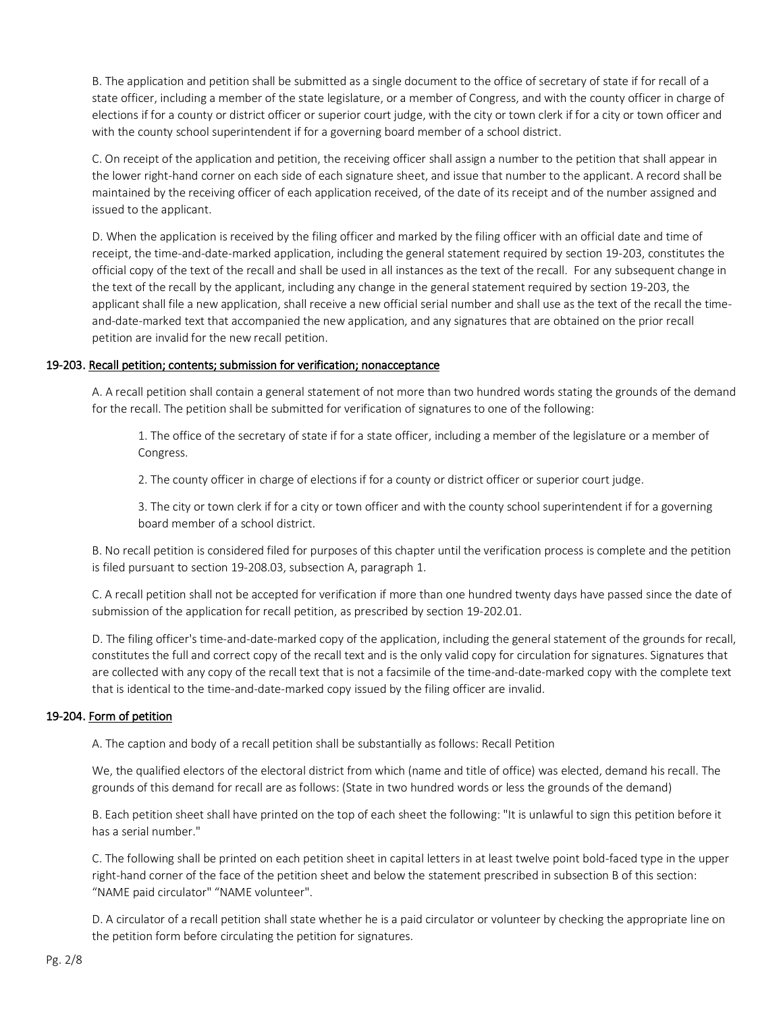B. The application and petition shall be submitted as a single document to the office of secretary of state if for recall of a state officer, including a member of the state legislature, or a member of Congress, and with the county officer in charge of elections if for a county or district officer or superior court judge, with the city or town clerk if for a city or town officer and with the county school superintendent if for a governing board member of a school district.

C. On receipt of the application and petition, the receiving officer shall assign a number to the petition that shall appear in the lower right-hand corner on each side of each signature sheet, and issue that number to the applicant. A record shall be maintained by the receiving officer of each application received, of the date of its receipt and of the number assigned and issued to the applicant.

D. When the application is received by the filing officer and marked by the filing officer with an official date and time of receipt, the time-and-date-marked application, including the general statement required by section 19-203, constitutes the official copy of the text of the recall and shall be used in all instances as the text of the recall. For any subsequent change in the text of the recall by the applicant, including any change in the general statement required by section 19-203, the applicant shall file a new application, shall receive a new official serial number and shall use as the text of the recall the timeand-date-marked text that accompanied the new application, and any signatures that are obtained on the prior recall petition are invalid for the new recall petition.

# 19-203. Recall petition; contents; submission for verification; nonacceptance

A. A recall petition shall contain a general statement of not more than two hundred words stating the grounds of the demand for the recall. The petition shall be submitted for verification of signatures to one of the following:

1. The office of the secretary of state if for a state officer, including a member of the legislature or a member of Congress.

2. The county officer in charge of elections if for a county or district officer or superior court judge.

3. The city or town clerk if for a city or town officer and with the county school superintendent if for a governing board member of a school district.

B. No recall petition is considered filed for purposes of this chapter until the verification process is complete and the petition is filed pursuant to section 19-208.03, subsection A, paragraph 1.

C. A recall petition shall not be accepted for verification if more than one hundred twenty days have passed since the date of submission of the application for recall petition, as prescribed by section 19-202.01.

D. The filing officer's time-and-date-marked copy of the application, including the general statement of the grounds for recall, constitutes the full and correct copy of the recall text and is the only valid copy for circulation for signatures. Signatures that are collected with any copy of the recall text that is not a facsimile of the time-and-date-marked copy with the complete text that is identical to the time-and-date-marked copy issued by the filing officer are invalid.

# 19-204. Form of petition

A. The caption and body of a recall petition shall be substantially as follows: Recall Petition

We, the qualified electors of the electoral district from which (name and title of office) was elected, demand his recall. The grounds of this demand for recall are as follows: (State in two hundred words or less the grounds of the demand)

B. Each petition sheet shall have printed on the top of each sheet the following: "It is unlawful to sign this petition before it has a serial number."

C. The following shall be printed on each petition sheet in capital letters in at least twelve point bold-faced type in the upper right-hand corner of the face of the petition sheet and below the statement prescribed in subsection B of this section: "NAME paid circulator" "NAME volunteer".

D. A circulator of a recall petition shall state whether he is a paid circulator or volunteer by checking the appropriate line on the petition form before circulating the petition for signatures.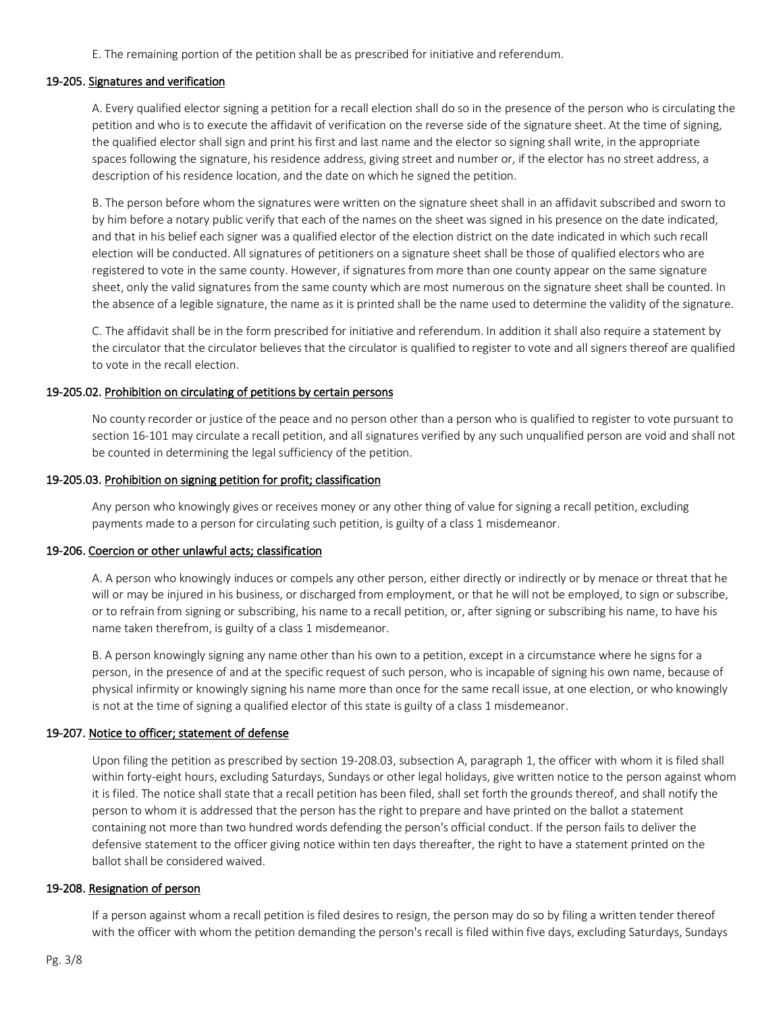E. The remaining portion of the petition shall be as prescribed for initiative and referendum.

## 19-205. Signatures and verification

A. Every qualified elector signing a petition for a recall election shall do so in the presence of the person who is circulating the petition and who is to execute the affidavit of verification on the reverse side of the signature sheet. At the time of signing, the qualified elector shall sign and print his first and last name and the elector so signing shall write, in the appropriate spaces following the signature, his residence address, giving street and number or, if the elector has no street address, a description of his residence location, and the date on which he signed the petition.

B. The person before whom the signatures were written on the signature sheet shall in an affidavit subscribed and sworn to by him before a notary public verify that each of the names on the sheet was signed in his presence on the date indicated, and that in his belief each signer was a qualified elector of the election district on the date indicated in which such recall election will be conducted. All signatures of petitioners on a signature sheet shall be those of qualified electors who are registered to vote in the same county. However, if signatures from more than one county appear on the same signature sheet, only the valid signatures from the same county which are most numerous on the signature sheet shall be counted. In the absence of a legible signature, the name as it is printed shall be the name used to determine the validity of the signature.

C. The affidavit shall be in the form prescribed for initiative and referendum. In addition it shall also require a statement by the circulator that the circulator believes that the circulator is qualified to register to vote and all signers thereof are qualified to vote in the recall election.

### 19-205.02. Prohibition on circulating of petitions by certain persons

No county recorder or justice of the peace and no person other than a person who is qualified to register to vote pursuant to section 16-101 may circulate a recall petition, and all signatures verified by any such unqualified person are void and shall not be counted in determining the legal sufficiency of the petition.

#### 19-205.03. Prohibition on signing petition for profit; classification

Any person who knowingly gives or receives money or any other thing of value for signing a recall petition, excluding payments made to a person for circulating such petition, is guilty of a class 1 misdemeanor.

### 19-206. Coercion or other unlawful acts; classification

A. A person who knowingly induces or compels any other person, either directly or indirectly or by menace or threat that he will or may be injured in his business, or discharged from employment, or that he will not be employed, to sign or subscribe, or to refrain from signing or subscribing, his name to a recall petition, or, after signing or subscribing his name, to have his name taken therefrom, is guilty of a class 1 misdemeanor.

B. A person knowingly signing any name other than his own to a petition, except in a circumstance where he signs for a person, in the presence of and at the specific request of such person, who is incapable of signing his own name, because of physical infirmity or knowingly signing his name more than once for the same recall issue, at one election, or who knowingly is not at the time of signing a qualified elector of this state is guilty of a class 1 misdemeanor.

### 19-207. Notice to officer; statement of defense

Upon filing the petition as prescribed by section 19-208.03, subsection A, paragraph 1, the officer with whom it is filed shall within forty-eight hours, excluding Saturdays, Sundays or other legal holidays, give written notice to the person against whom it is filed. The notice shall state that a recall petition has been filed, shall set forth the grounds thereof, and shall notify the person to whom it is addressed that the person has the right to prepare and have printed on the ballot a statement containing not more than two hundred words defending the person's official conduct. If the person fails to deliver the defensive statement to the officer giving notice within ten days thereafter, the right to have a statement printed on the ballot shall be considered waived.

#### 19-208. Resignation of person

If a person against whom a recall petition is filed desires to resign, the person may do so by filing a written tender thereof with the officer with whom the petition demanding the person's recall is filed within five days, excluding Saturdays, Sundays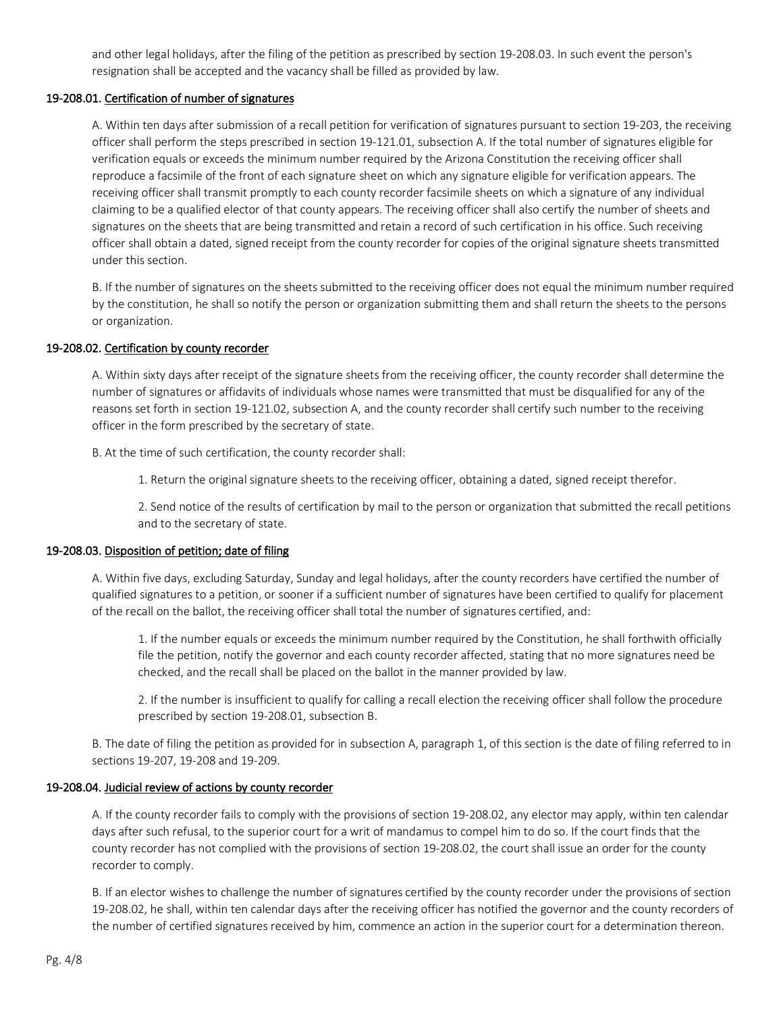and other legal holidays, after the filing of the petition as prescribed by section 19-208.03. In such event the person's resignation shall be accepted and the vacancy shall be filled as provided by law.

## 19-208.01. Certification of number of signatures

A. Within ten days after submission of a recall petition for verification of signatures pursuant to section 19-203, the receiving officer shall perform the steps prescribed in section 19-121.01, subsection A. If the total number of signatures eligible for verification equals or exceeds the minimum number required by the Arizona Constitution the receiving officer shall reproduce a facsimile of the front of each signature sheet on which any signature eligible for verification appears. The receiving officer shall transmit promptly to each county recorder facsimile sheets on which a signature of any individual claiming to be a qualified elector of that county appears. The receiving officer shall also certify the number of sheets and signatures on the sheets that are being transmitted and retain a record of such certification in his office. Such receiving officer shall obtain a dated, signed receipt from the county recorder for copies of the original signature sheets transmitted under this section.

B. If the number of signatures on the sheets submitted to the receiving officer does not equal the minimum number required by the constitution, he shall so notify the person or organization submitting them and shall return the sheets to the persons or organization.

# 19-208.02. Certification by county recorder

A. Within sixty days after receipt of the signature sheets from the receiving officer, the county recorder shall determine the number of signatures or affidavits of individuals whose names were transmitted that must be disqualified for any of the reasons set forth in section 19-121.02, subsection A, and the county recorder shall certify such number to the receiving officer in the form prescribed by the secretary of state.

B. At the time of such certification, the county recorder shall:

1. Return the original signature sheets to the receiving officer, obtaining a dated, signed receipt therefor.

2. Send notice of the results of certification by mail to the person or organization that submitted the recall petitions and to the secretary of state.

### 19-208.03. Disposition of petition; date of filing

A. Within five days, excluding Saturday, Sunday and legal holidays, after the county recorders have certified the number of qualified signatures to a petition, or sooner if a sufficient number of signatures have been certified to qualify for placement of the recall on the ballot, the receiving officer shall total the number of signatures certified, and:

1. If the number equals or exceeds the minimum number required by the Constitution, he shall forthwith officially file the petition, notify the governor and each county recorder affected, stating that no more signatures need be checked, and the recall shall be placed on the ballot in the manner provided by law.

2. If the number is insufficient to qualify for calling a recall election the receiving officer shall follow the procedure prescribed by section 19-208.01, subsection B.

B. The date of filing the petition as provided for in subsection A, paragraph 1, of this section is the date of filing referred to in sections 19-207, 19-208 and 19-209.

# 19-208.04. Judicial review of actions by county recorder

A. If the county recorder fails to comply with the provisions of section 19-208.02, any elector may apply, within ten calendar days after such refusal, to the superior court for a writ of mandamus to compel him to do so. If the court finds that the county recorder has not complied with the provisions of section 19-208.02, the court shall issue an order for the county recorder to comply.

B. If an elector wishes to challenge the number of signatures certified by the county recorder under the provisions of section 19-208.02, he shall, within ten calendar days after the receiving officer has notified the governor and the county recorders of the number of certified signatures received by him, commence an action in the superior court for a determination thereon.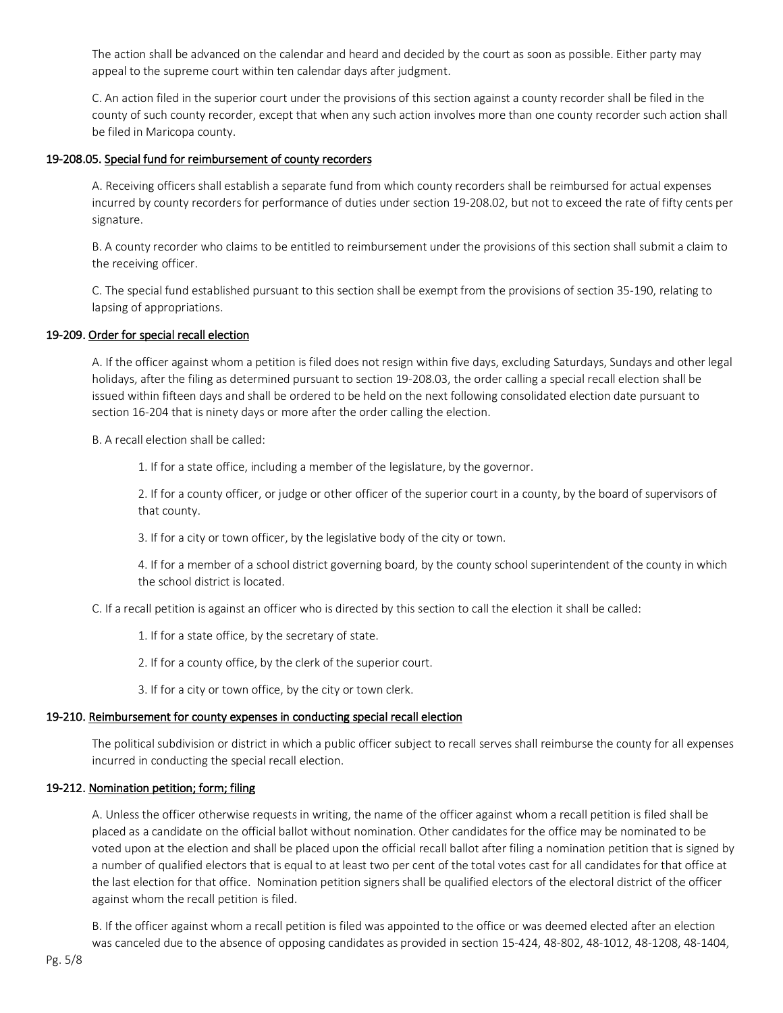The action shall be advanced on the calendar and heard and decided by the court as soon as possible. Either party may appeal to the supreme court within ten calendar days after judgment.

C. An action filed in the superior court under the provisions of this section against a county recorder shall be filed in the county of such county recorder, except that when any such action involves more than one county recorder such action shall be filed in Maricopa county.

## 19-208.05. Special fund for reimbursement of county recorders

A. Receiving officers shall establish a separate fund from which county recorders shall be reimbursed for actual expenses incurred by county recorders for performance of duties under section 19-208.02, but not to exceed the rate of fifty cents per signature.

B. A county recorder who claims to be entitled to reimbursement under the provisions of this section shall submit a claim to the receiving officer.

C. The special fund established pursuant to this section shall be exempt from the provisions of section 35-190, relating to lapsing of appropriations.

## 19-209. Order for special recall election

A. If the officer against whom a petition is filed does not resign within five days, excluding Saturdays, Sundays and other legal holidays, after the filing as determined pursuant to section 19-208.03, the order calling a special recall election shall be issued within fifteen days and shall be ordered to be held on the next following consolidated election date pursuant to section 16-204 that is ninety days or more after the order calling the election.

B. A recall election shall be called:

1. If for a state office, including a member of the legislature, by the governor.

2. If for a county officer, or judge or other officer of the superior court in a county, by the board of supervisors of that county.

3. If for a city or town officer, by the legislative body of the city or town.

4. If for a member of a school district governing board, by the county school superintendent of the county in which the school district is located.

C. If a recall petition is against an officer who is directed by this section to call the election it shall be called:

1. If for a state office, by the secretary of state.

2. If for a county office, by the clerk of the superior court.

3. If for a city or town office, by the city or town clerk.

# 19-210. Reimbursement for county expenses in conducting special recall election

The political subdivision or district in which a public officer subject to recall serves shall reimburse the county for all expenses incurred in conducting the special recall election.

## 19-212. Nomination petition; form; filing

A. Unless the officer otherwise requests in writing, the name of the officer against whom a recall petition is filed shall be placed as a candidate on the official ballot without nomination. Other candidates for the office may be nominated to be voted upon at the election and shall be placed upon the official recall ballot after filing a nomination petition that is signed by a number of qualified electors that is equal to at least two per cent of the total votes cast for all candidates for that office at the last election for that office. Nomination petition signers shall be qualified electors of the electoral district of the officer against whom the recall petition is filed.

B. If the officer against whom a recall petition is filed was appointed to the office or was deemed elected after an election was canceled due to the absence of opposing candidates as provided in section 15-424, 48-802, 48-1012, 48-1208, 48-1404,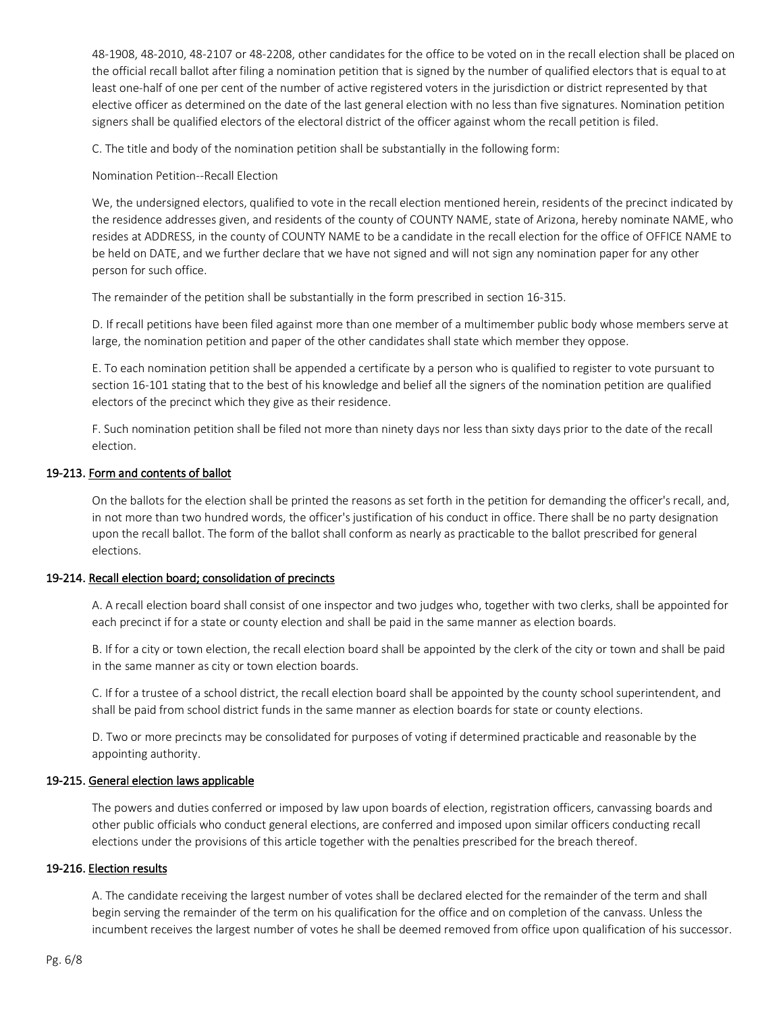48-1908, 48-2010, 48-2107 or 48-2208, other candidates for the office to be voted on in the recall election shall be placed on the official recall ballot after filing a nomination petition that is signed by the number of qualified electors that is equal to at least one-half of one per cent of the number of active registered voters in the jurisdiction or district represented by that elective officer as determined on the date of the last general election with no less than five signatures. Nomination petition signers shall be qualified electors of the electoral district of the officer against whom the recall petition is filed.

C. The title and body of the nomination petition shall be substantially in the following form:

## Nomination Petition--Recall Election

We, the undersigned electors, qualified to vote in the recall election mentioned herein, residents of the precinct indicated by the residence addresses given, and residents of the county of COUNTY NAME, state of Arizona, hereby nominate NAME, who resides at ADDRESS, in the county of COUNTY NAME to be a candidate in the recall election for the office of OFFICE NAME to be held on DATE, and we further declare that we have not signed and will not sign any nomination paper for any other person for such office.

The remainder of the petition shall be substantially in the form prescribed in section 16-315.

D. If recall petitions have been filed against more than one member of a multimember public body whose members serve at large, the nomination petition and paper of the other candidates shall state which member they oppose.

E. To each nomination petition shall be appended a certificate by a person who is qualified to register to vote pursuant to section 16-101 stating that to the best of his knowledge and belief all the signers of the nomination petition are qualified electors of the precinct which they give as their residence.

F. Such nomination petition shall be filed not more than ninety days nor less than sixty days prior to the date of the recall election.

## 19-213. Form and contents of ballot

On the ballots for the election shall be printed the reasons as set forth in the petition for demanding the officer's recall, and, in not more than two hundred words, the officer's justification of his conduct in office. There shall be no party designation upon the recall ballot. The form of the ballot shall conform as nearly as practicable to the ballot prescribed for general elections.

# 19-214. Recall election board; consolidation of precincts

A. A recall election board shall consist of one inspector and two judges who, together with two clerks, shall be appointed for each precinct if for a state or county election and shall be paid in the same manner as election boards.

B. If for a city or town election, the recall election board shall be appointed by the clerk of the city or town and shall be paid in the same manner as city or town election boards.

C. If for a trustee of a school district, the recall election board shall be appointed by the county school superintendent, and shall be paid from school district funds in the same manner as election boards for state or county elections.

D. Two or more precincts may be consolidated for purposes of voting if determined practicable and reasonable by the appointing authority.

# 19-215. General election laws applicable

The powers and duties conferred or imposed by law upon boards of election, registration officers, canvassing boards and other public officials who conduct general elections, are conferred and imposed upon similar officers conducting recall elections under the provisions of this article together with the penalties prescribed for the breach thereof.

# 19-216. Election results

A. The candidate receiving the largest number of votes shall be declared elected for the remainder of the term and shall begin serving the remainder of the term on his qualification for the office and on completion of the canvass. Unless the incumbent receives the largest number of votes he shall be deemed removed from office upon qualification of his successor.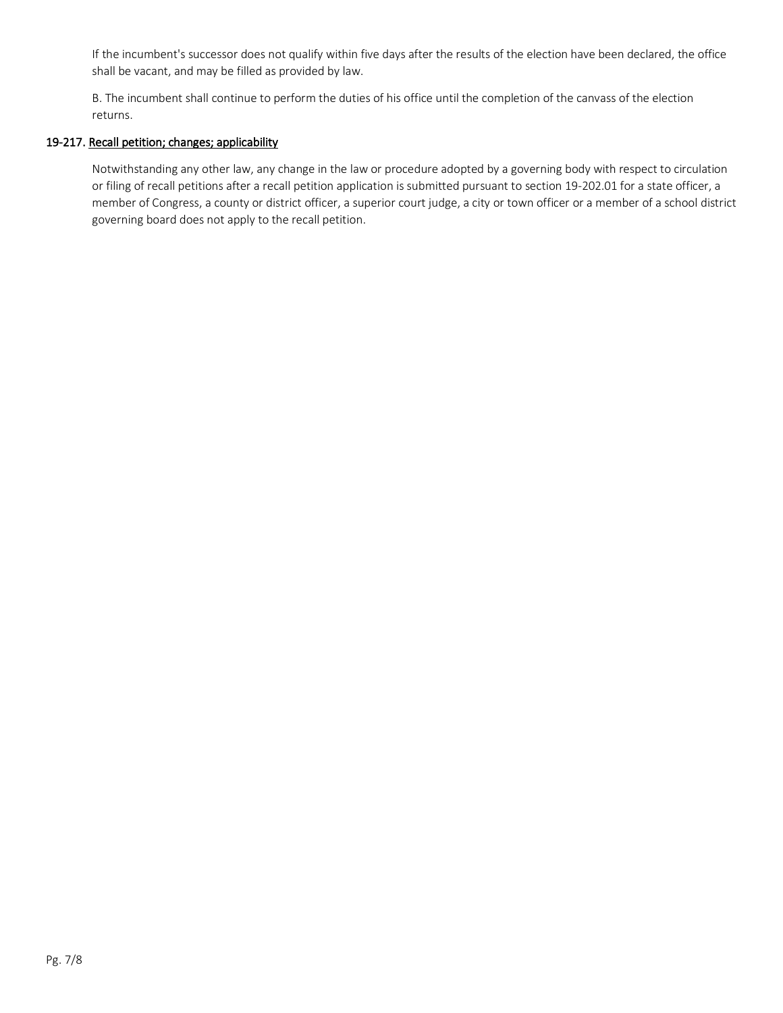If the incumbent's successor does not qualify within five days after the results of the election have been declared, the office shall be vacant, and may be filled as provided by law.

B. The incumbent shall continue to perform the duties of his office until the completion of the canvass of the election returns.

# 19-217. Recall petition; changes; applicability

Notwithstanding any other law, any change in the law or procedure adopted by a governing body with respect to circulation or filing of recall petitions after a recall petition application is submitted pursuant to section 19-202.01 for a state officer, a member of Congress, a county or district officer, a superior court judge, a city or town officer or a member of a school district governing board does not apply to the recall petition.